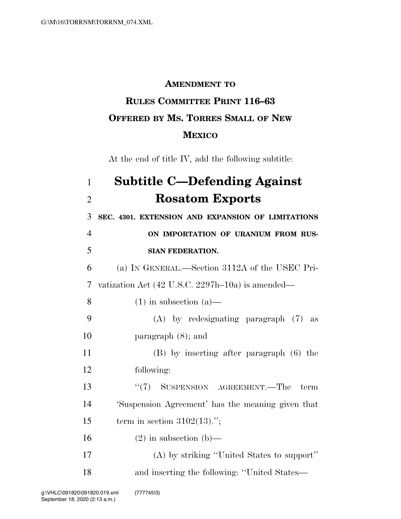## **AMENDMENT TO**

## **RULES COMMITTEE PRINT 116–63 OFFERED BY MS. TORRES SMALL OF NEW MEXICO**

At the end of title IV, add the following subtitle:

## 1 **Subtitle C—Defending Against**  2 **Rosatom Exports**  3 **SEC. 4301. EXTENSION AND EXPANSION OF LIMITATIONS**  4 **ON IMPORTATION OF URANIUM FROM RUS-**5 **SIAN FEDERATION.**  6 (a) IN GENERAL.—Section 3112A of the USEC Pri-7 vatization Act (42 U.S.C. 2297h–10a) is amended— 8 (1) in subsection (a)— 9 (A) by redesignating paragraph (7) as 10 paragraph (8); and 11 (B) by inserting after paragraph (6) the 12 following: 13 ''(7) SUSPENSION AGREEMENT.—The term 14 'Suspension Agreement' has the meaning given that 15 term in section  $3102(13)$ ."; 16 (2) in subsection (b)— 17 (A) by striking ''United States to support'' 18 and inserting the following: ''United States—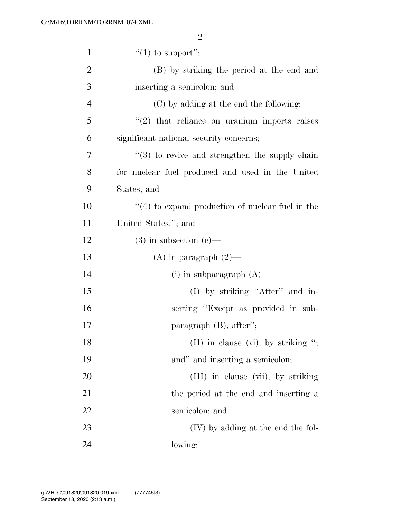| $\mathbf{1}$   | "(1) to support";                                              |
|----------------|----------------------------------------------------------------|
| $\overline{c}$ | (B) by striking the period at the end and                      |
| 3              | inserting a semicolon; and                                     |
| $\overline{4}$ | (C) by adding at the end the following:                        |
| 5              | $\lq(2)$ that reliance on uranium imports raises               |
| 6              | significant national security concerns;                        |
| 7              | $\cdot\cdot\cdot(3)$ to revive and strengthen the supply chain |
| 8              | for nuclear fuel produced and used in the United               |
| 9              | States; and                                                    |
| 10             | $\lq(4)$ to expand production of nuclear fuel in the           |
| 11             | United States."; and                                           |
| 12             | $(3)$ in subsection $(e)$ —                                    |
| 13             | $(A)$ in paragraph $(2)$ —                                     |
| 14             | (i) in subparagraph $(A)$ —                                    |
| 15             | (I) by striking "After" and in-                                |
| 16             | serting "Except as provided in sub-                            |
| 17             | paragraph $(B)$ , after";                                      |
| 18             | (II) in clause (vi), by striking ";                            |
| 19             | and" and inserting a semicolon;                                |
| 20             | (III) in clause (vii), by striking                             |
| 21             | the period at the end and inserting a                          |
| 22             | semicolon; and                                                 |
| 23             | $(IV)$ by adding at the end the fol-                           |
| 24             | lowing:                                                        |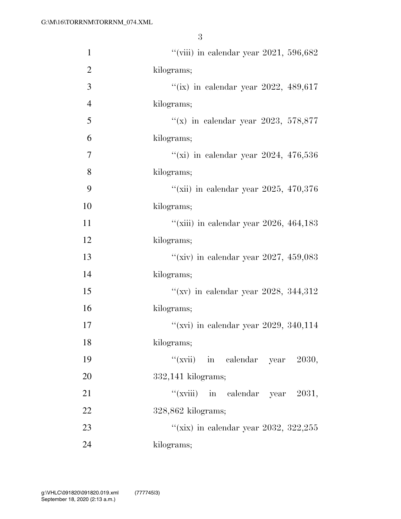| $\mathbf{1}$   | "(viii) in calendar year 2021, 596,682  |
|----------------|-----------------------------------------|
| $\mathbf{2}$   | kilograms;                              |
| 3              | "(ix) in calendar year 2022, 489,617    |
| $\overline{4}$ | kilograms;                              |
| 5              | "(x) in calendar year 2023, 578,877     |
| 6              | kilograms;                              |
| 7              | "(xi) in calendar year 2024, $476,536$  |
| 8              | kilograms;                              |
| 9              | "(xii) in calendar year 2025, 470,376   |
| 10             | kilograms;                              |
| 11             | "(xiii) in calendar year 2026, 464, 183 |
| 12             | kilograms;                              |
| 13             | "(xiv) in calendar year 2027, 459,083   |
| 14             | kilograms;                              |
| 15             | "(xv) in calendar year 2028, 344,312    |
| 16             | kilograms;                              |
| 17             | "(xvi) in calendar year 2029, 340,114   |
| 18             | kilograms;                              |
| 19             | "(xvii) in calendar year $2030$ ,       |
| 20             | $332,141$ kilograms;                    |
| 21             | "(xviii) in calendar year 2031,         |
| 22             | $328,862$ kilograms;                    |
| 23             | "(xix) in calendar year 2032, 322,255   |
| 24             | kilograms;                              |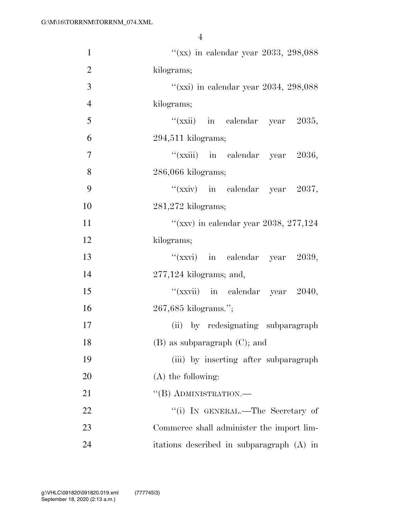| $\mathbf{1}$   | "(xx) in calendar year 2033, 298,088      |
|----------------|-------------------------------------------|
| $\overline{2}$ | kilograms;                                |
| 3              | "(xxi) in calendar year 2034, 298,088     |
| $\overline{4}$ | kilograms;                                |
| 5              | "(xxii) in calendar year $2035$ ,         |
| 6              | $294,511$ kilograms;                      |
| 7              | "(xxiii) in calendar year 2036,           |
| 8              | 286,066 kilograms;                        |
| 9              | "(xxiv) in calendar year $2037$ ,         |
| 10             | $281,272$ kilograms;                      |
| 11             | "(xxv) in calendar year 2038, 277,124     |
| 12             | kilograms;                                |
| 13             | " $(xxyi)$ in calendar year 2039,         |
| 14             | $277,124$ kilograms; and,                 |
| 15             | "(xxvii) in calendar year $2040$ ,        |
| 16             | 267,685 kilograms.";                      |
| 17             | by redesignating subparagraph<br>(ii)     |
| 18             | $(B)$ as subparagraph $(C)$ ; and         |
| 19             | (iii) by inserting after subparagraph     |
| 20             | $(A)$ the following:                      |
| 21             | "(B) ADMINISTRATION.—                     |
| 22             | "(i) IN GENERAL.—The Secretary of         |
| 23             | Commerce shall administer the import lim- |
| 24             | itations described in subparagraph (A) in |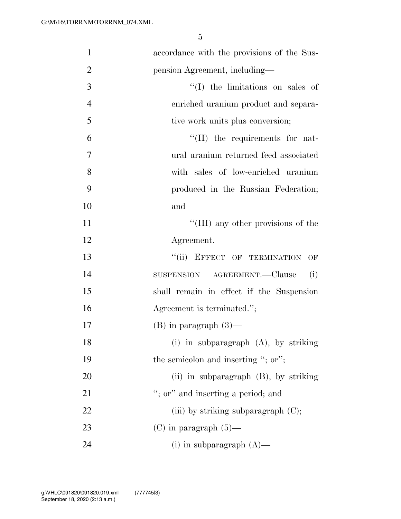| $\mathbf{1}$   | accordance with the provisions of the Sus- |
|----------------|--------------------------------------------|
| $\overline{2}$ | pension Agreement, including—              |
| 3              | $\lq\lq$ (I) the limitations on sales of   |
| $\overline{4}$ | enriched uranium product and separa-       |
| 5              | tive work units plus conversion;           |
| 6              | $\lq\lq$ (II) the requirements for nat-    |
| $\overline{7}$ | ural uranium returned feed associated      |
| 8              | with sales of low-enriched uranium         |
| 9              | produced in the Russian Federation;        |
| 10             | and                                        |
| 11             | "(III) any other provisions of the         |
| 12             | Agreement.                                 |
| 13             | "(ii) EFFECT OF TERMINATION OF             |
| 14             | SUSPENSION AGREEMENT.—Clause<br>(i)        |
| 15             | shall remain in effect if the Suspension   |
| 16             | Agreement is terminated.";                 |
| 17             | $(B)$ in paragraph $(3)$ —                 |
| 18             | (i) in subparagraph (A), by striking       |
| 19             | the semicolon and inserting "; or";        |
| 20             | (ii) in subparagraph $(B)$ , by striking   |
| 21             | "; or" and inserting a period; and         |
| 22             | (iii) by striking subparagraph $(C)$ ;     |
| 23             | $(C)$ in paragraph $(5)$ —                 |
| 24             | (i) in subparagraph $(A)$ —                |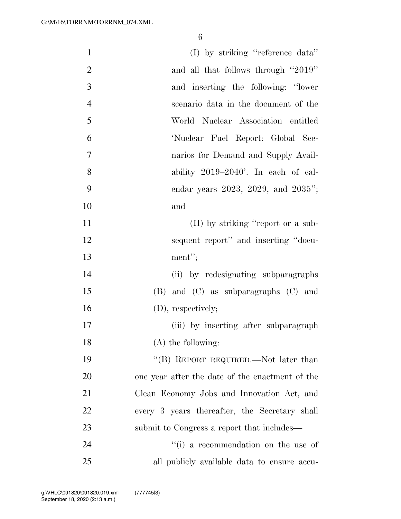| $\mathbf{1}$   | (I) by striking "reference data"                |
|----------------|-------------------------------------------------|
| $\overline{2}$ | and all that follows through "2019"             |
| 3              | and inserting the following: "lower             |
| $\overline{4}$ | scenario data in the document of the            |
| 5              | World Nuclear Association entitled              |
| 6              | 'Nuclear Fuel Report: Global Sce-               |
| 7              | narios for Demand and Supply Avail-             |
| 8              | ability $2019-2040'$ . In each of cal-          |
| 9              | endar years 2023, 2029, and 2035";              |
| 10             | and                                             |
| 11             | (II) by striking "report or a sub-              |
| 12             | sequent report" and inserting "docu-            |
| 13             | ment";                                          |
| 14             | (ii) by redesignating subparagraphs             |
| 15             | $(B)$ and $(C)$ as subparagraphs $(C)$ and      |
| 16             | (D), respectively;                              |
| 17             | (iii) by inserting after subparagraph           |
| 18             | $(A)$ the following:                            |
| 19             | "(B) REPORT REQUIRED.—Not later than            |
| 20             | one year after the date of the enactment of the |
| 21             | Clean Economy Jobs and Innovation Act, and      |
| 22             | every 3 years thereafter, the Secretary shall   |
| 23             | submit to Congress a report that includes—      |
| 24             | "(i) a recommendation on the use of             |
| 25             | all publicly available data to ensure accu-     |